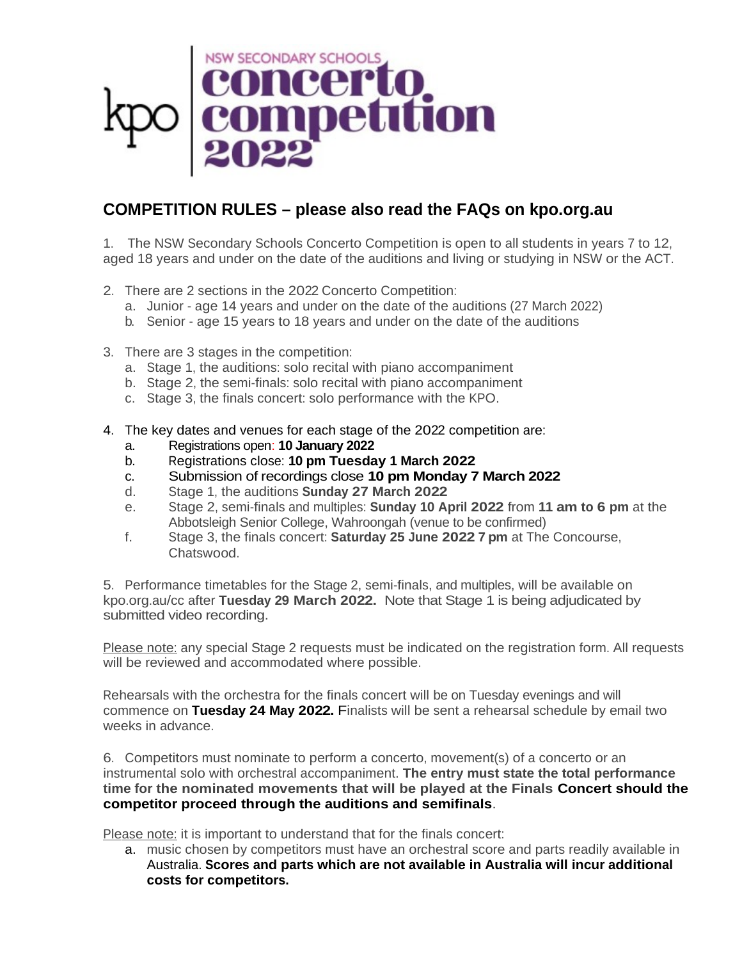

## **COMPETITION RULES – please also read the FAQs on kpo.org.au**

1. The NSW Secondary Schools Concerto Competition is open to all students in years 7 to 12, aged 18 years and under on the date of the auditions and living or studying in NSW or the ACT.

- 2. There are 2 sections in the 2022 Concerto Competition:
	- a. Junior age 14 years and under on the date of the auditions (27 March 2022)
	- b. Senior age 15 years to 18 years and under on the date of the auditions
- 3. There are 3 stages in the competition:
	- a. Stage 1, the auditions: solo recital with piano accompaniment
	- b. Stage 2, the semi-finals: solo recital with piano accompaniment
	- c. Stage 3, the finals concert: solo performance with the KPO.
- 4. The key dates and venues for each stage of the 2022 competition are:
	- a. Registrations open: **10 January 2022**
	- b. Registrations close: **10 pm Tuesday 1 March 2022**
	- c. Submission of recordings close **10 pm Monday 7 March 2022**
	- d. Stage 1, the auditions **Sunday 27 March 2022**
	- e. Stage 2, semi-finals and multiples: **Sunday 10 April 2022** from **11 am to 6 pm** at the Abbotsleigh Senior College, Wahroongah (venue to be confirmed)
	- f. Stage 3, the finals concert: **Saturday 25 June 2022 7 pm** at The Concourse, Chatswood.

5. Performance timetables for the Stage 2, semi-finals, and multiples, will be available on kpo.org.au/cc after **Tuesday 29 March 2022.** Note that Stage 1 is being adjudicated by submitted video recording.

Please note: any special Stage 2 requests must be indicated on the registration form. All requests will be reviewed and accommodated where possible.

Rehearsals with the orchestra for the finals concert will be on Tuesday evenings and will commence on **Tuesday 24 May 2022.** Finalists will be sent a rehearsal schedule by email two weeks in advance.

6. Competitors must nominate to perform a concerto, movement(s) of a concerto or an instrumental solo with orchestral accompaniment. **The entry must state the total performance time for the nominated movements that will be played at the Finals Concert should the competitor proceed through the auditions and semifinals**.

Please note: it is important to understand that for the finals concert:

a. music chosen by competitors must have an orchestral score and parts readily available in Australia. **Scores and parts which are not available in Australia will incur additional costs for competitors.**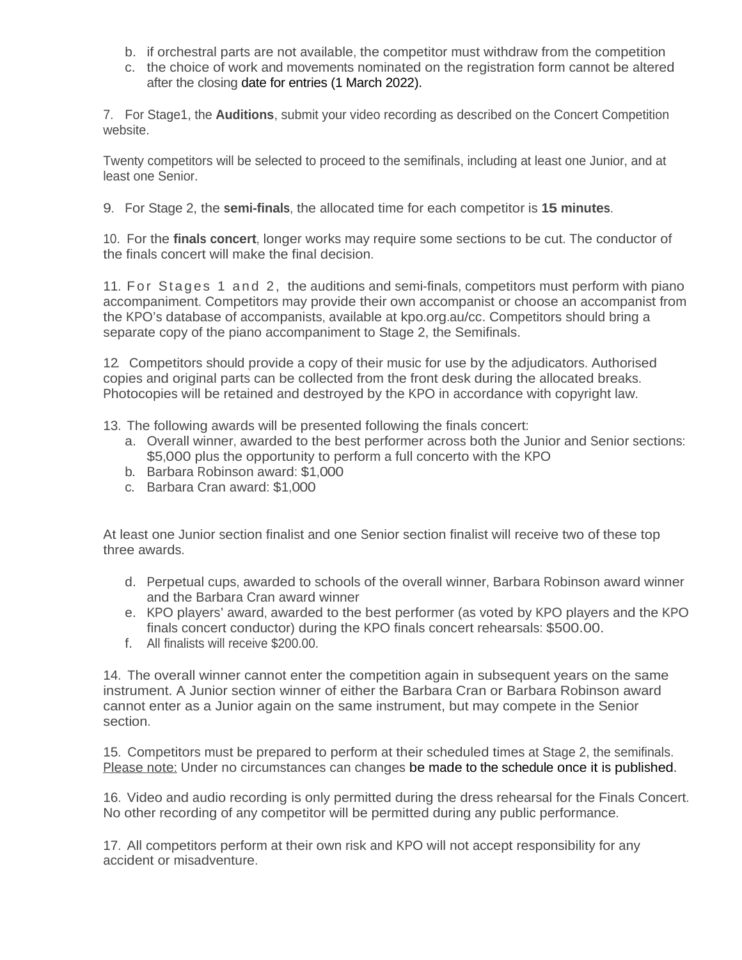- b. if orchestral parts are not available, the competitor must withdraw from the competition
- c. the choice of work and movements nominated on the registration form cannot be altered after the closing date for entries (1 March 2022).

7. For Stage1, the **Auditions**, submit your video recording as described on the Concert Competition website.

Twenty competitors will be selected to proceed to the semifinals, including at least one Junior, and at least one Senior.

9. For Stage 2, the **semi-finals**, the allocated time for each competitor is **15 minutes**.

10. For the **finals concert**, longer works may require some sections to be cut. The conductor of the finals concert will make the final decision.

11. For Stages 1 and 2, the auditions and semi-finals, competitors must perform with piano accompaniment. Competitors may provide their own accompanist or choose an accompanist from the KPO's database of accompanists, available at kpo.org.au/cc. Competitors should bring a separate copy of the piano accompaniment to Stage 2, the Semifinals.

12. Competitors should provide a copy of their music for use by the adjudicators. Authorised copies and original parts can be collected from the front desk during the allocated breaks. Photocopies will be retained and destroyed by the KPO in accordance with copyright law.

13. The following awards will be presented following the finals concert:

- a. Overall winner, awarded to the best performer across both the Junior and Senior sections: \$5,000 plus the opportunity to perform a full concerto with the KPO
- b. Barbara Robinson award: \$1,000
- c. Barbara Cran award: \$1,000

At least one Junior section finalist and one Senior section finalist will receive two of these top three awards.

- d. Perpetual cups, awarded to schools of the overall winner, Barbara Robinson award winner and the Barbara Cran award winner
- e. KPO players' award, awarded to the best performer (as voted by KPO players and the KPO finals concert conductor) during the KPO finals concert rehearsals: \$500.00.
- f. All finalists will receive \$200.00.

14. The overall winner cannot enter the competition again in subsequent years on the same instrument. A Junior section winner of either the Barbara Cran or Barbara Robinson award cannot enter as a Junior again on the same instrument, but may compete in the Senior section.

15. Competitors must be prepared to perform at their scheduled times at Stage 2, the semifinals. Please note: Under no circumstances can changes be made to the schedule once it is published.

16. Video and audio recording is only permitted during the dress rehearsal for the Finals Concert. No other recording of any competitor will be permitted during any public performance.

17. All competitors perform at their own risk and KPO will not accept responsibility for any accident or misadventure.